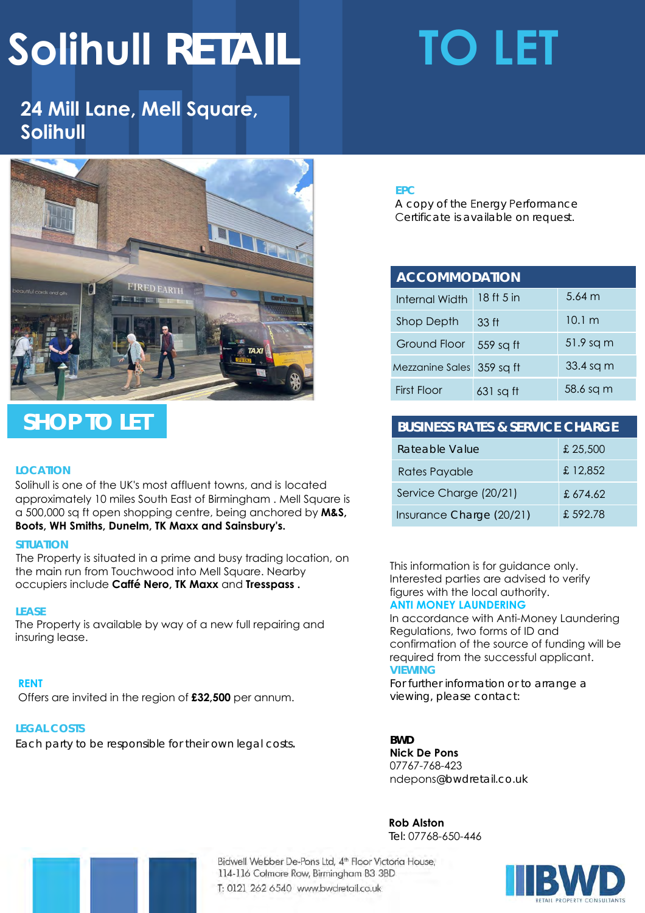# **Solihull RETAIL TO LET**

## **24 Mill Lane, Mell Square, Solihull**



## **SHOP TO LET**

### **LOCATION**

Solihull is one of the UK's most affluent towns, and is located approximately 10 miles South East of Birmingham . Mell Square is a 500,000 sq ft open shopping centre, being anchored by **M&S, Boots, WH Smiths, Dunelm, TK Maxx and Sainsbury's.** 

#### **SITUATION**

The Property is situated in a prime and busy trading location, on the main run from Touchwood into Mell Square. Nearby occupiers include **Caffé Nero, TK Maxx** and **Tresspass .** 

### **LEASE**

The Property is available by way of a new full repairing and insuring lease.

### **RENT**

Offers are invited in the region of **£32,500** per annum.

### **LEGAL COSTS**

Each party to be responsible for their own legal costs.

#### **EPC**

A copy of the Energy Performance Certificate is available on request.

| <b>ACCOMMODATION</b>      |             |                   |
|---------------------------|-------------|-------------------|
| <b>Internal Width</b>     | 18 ft 5 in  | $5.64 \; m$       |
| Shop Depth                | 33 ft       | 10.1 <sub>m</sub> |
| Ground Floor              | 559 sq ft   | 51.9 sq m         |
| Mezzanine Sales 359 sq ft |             | 33.4 sq m         |
| First Floor               | $631$ sq ft | 58.6 sq m         |

## **BUSINESS RATES & SERVICE CHARGE** Rateable Value **E** 25,500 Rates Payable **E** 12,852 Service Charge (20/21) £ 674.62

This information is for guidance only. Interested parties are advised to verify figures with the local authority. **ANTI MONEY LAUNDERING** 

Insurance Charge (20/21) £ 592.78

In accordance with Anti-Money Laundering Regulations, two forms of ID and confirmation of the source of funding will be required from the successful applicant. **VIEWING** 

For further information or to arrange a viewing, please contact:

**BWD** 

**Nick De Pons** 07767-768-423 ndepons@bwdretail.co.uk

**Rob Alston**  Tel: 07768-650-446

Bidwell Webber De-Pons Ltd, 4<sup>th</sup> Floor Victoria House, 114-116 Colmore Row, Birmingham B3 3BD T: 0121 262 6540 www.bwdretail.co.uk